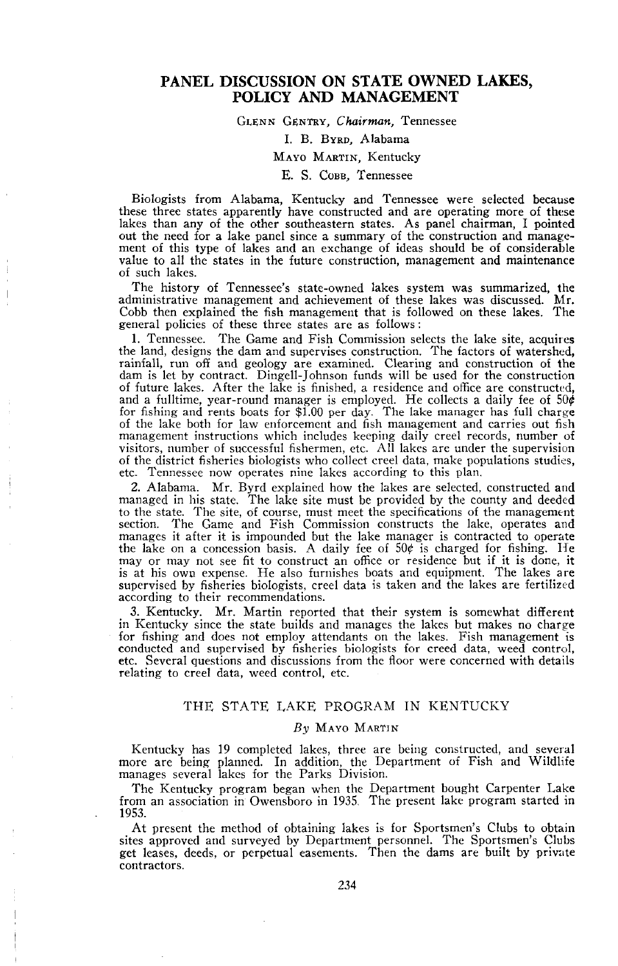## **PANEL DISCUSSION ON STATE OWNED LAKES, POLICY AND MANAGEMENT**

## GLENN GENTRY, *Chairman,* Tennessee

## 1. B. BYRD, Alabama

# MAYO MARTIN, Kentucky

## E. S. COBB, Tennessee

Biologists from Alabama, Kentucky and Tennessee were selected because<br>these three states apparently have constructed and are operating more of these lakes than any of the other southeastern states. As panel chairman, I pointed out the need for a lake panel since a summary of the construction and management of this type of lakes and an exchange of ideas should be of considerable value to all the states in the future construction, management and maintenance of such lakes.

The history of Tennessee's state-owned lakes system was summarized, the administrative management and achievement of these lakes was discussed. Mr. Cobb then explained the fish management that is followed on these lakes. The general policies of these three states are as follows:

1. Tennessee. The Game and Fish Commission selects the lake site, acquires the land, designs the dam and supervises construction. The factors of watershed, rainfall, run off and geology are examined. Clearing and construction of the dam is let by contract. Dingell-Johnson funds will be used for the construction of future lakes. After the lake is finished, a residence and office are constructed, and a fulltime, year-round manager is employed. He collects a daily fee of 50¢<br>for fishing and rents boats for \$1.00 per day. The lake manager has full charge<br>of the lake both for law enforcement and fish management and ca management instructions which includes keeping daily creel records, number of visitors, number of successful fishermen, etc. All lakes are under the supervision of the district fisheries biologists who collect creel data, make populations studies, etc. Tennessee now operates nine lakes according to this plan.

2. Alabama. Mr. Byrd explained how the lakes are selected, constructed and managed in his state. The lake site must be provided by the county and deeded to the state. The site, of course, must meet the specifications of the management section. The Game and Fish Commission constructs the lake, operates and manages it after it is impounded but the lake manager is contracted to operate the lake on a concession basis. A daily fee of 50¢ is charged for fishing. He mayor may not see fit to construct an office or residence but if it is done, it is at his own expense. He also furnishes boats and equipment. The lakes are<br>supervised by fisheries biologists, creel data is taken and the lakes are fertilized according to their recommendations.

3. Kentucky. Mr. Martin reported that their system is somewhat different in Kentucky since the state builds and manages the lakes but makes no charge for fishing and does not employ attendants on the lakes. Fish management is conducted and supervised by fisheries biologists for creed data, weed control, etc. Several questions and discussions from the floor were concerned with details relating to creel data, weed control, etc.

### THE STATE LAKE PROGRAM IN KENTUCKY

#### *By* MAYO MARTIN

Kentucky has 19 completed lakes, three are being constructed, and several more are being planned. In addition, the Department of Fish and Wildlife manages several lakes for the Parks Division.

The Kentucky program began when the Department bought Carpenter Lake from an association in Owensboro in 1935, The present lake program started in 1953.

At present the method of obtaining lakes is for Sportsmen's Clubs to obtain sites approved and surveyed by Department personnel. The Sportsmen's Clubs get leases, deeds, or perpetual easements. Then the dams are built by private contractors.